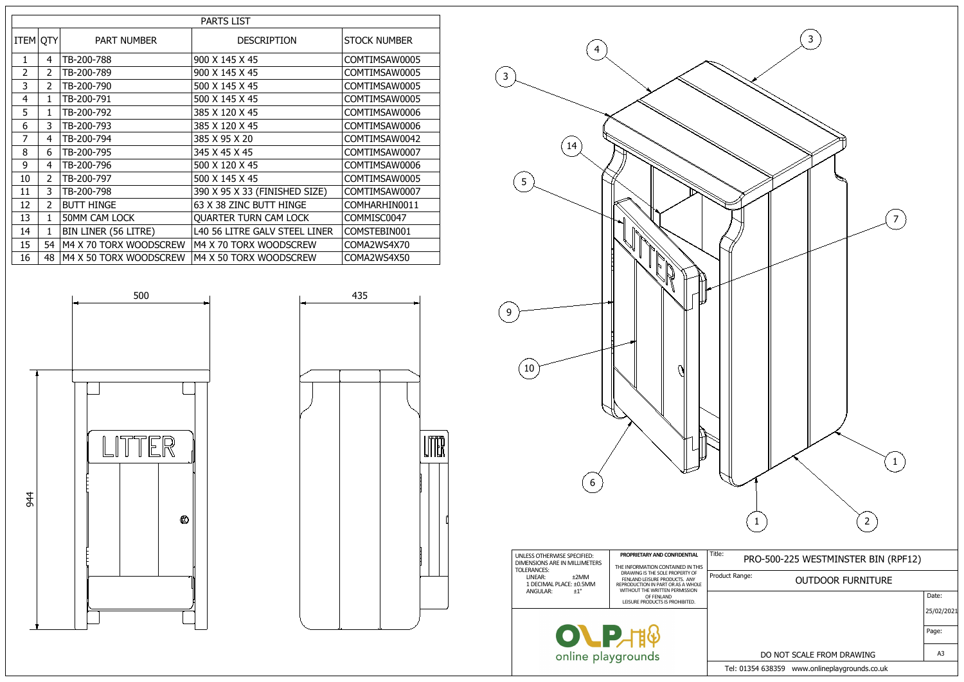| <b>PARTS LIST</b> |                |                        |                               |                     |  |
|-------------------|----------------|------------------------|-------------------------------|---------------------|--|
| <b>ITEM OTY</b>   |                | <b>PART NUMBER</b>     | <b>DESCRIPTION</b>            | <b>STOCK NUMBER</b> |  |
| $\mathbf{1}$      | 4              | TB-200-788             | 900 X 145 X 45                | COMTIMSAW0005       |  |
| $\overline{2}$    | $\overline{2}$ | TB-200-789             | 900 X 145 X 45                | COMTIMSAW0005       |  |
| 3                 | $\overline{2}$ | TB-200-790             | 500 X 145 X 45                | COMTIMSAW0005       |  |
| 4                 | 1              | TB-200-791             | 500 X 145 X 45                | COMTIMSAW0005       |  |
| 5                 | 1              | TB-200-792             | 385 X 120 X 45                | COMTIMSAW0006       |  |
| 6                 | 3              | TB-200-793             | 385 X 120 X 45                | COMTIMSAW0006       |  |
| 7                 | 4              | TB-200-794             | 385 X 95 X 20                 | COMTIMSAW0042       |  |
| 8                 | 6              | TB-200-795             | 345 X 45 X 45                 | COMTIMSAW0007       |  |
| 9                 | 4              | TB-200-796             | 500 X 120 X 45                | COMTIMSAW0006       |  |
| 10                | $\overline{2}$ | TB-200-797             | 500 X 145 X 45                | COMTIMSAW0005       |  |
| 11                | 3              | TB-200-798             | 390 X 95 X 33 (FINISHED SIZE) | COMTIMSAW0007       |  |
| 12                | $\overline{2}$ | <b>BUTT HINGE</b>      | 63 X 38 ZINC BUTT HINGE       | COMHARHIN0011       |  |
| 13                | $\mathbf{1}$   | <b>50MM CAM LOCK</b>   | <b>QUARTER TURN CAM LOCK</b>  | COMMISC0047         |  |
| 14                | $\mathbf{1}$   | BIN LINER (56 LITRE)   | L40 56 LITRE GALV STEEL LINER | COMSTEBIN001        |  |
| 15                | 54             | M4 X 70 TORX WOODSCREW | M4 X 70 TORX WOODSCREW        | COMA2WS4X70         |  |
| 16                | 48             | M4 X 50 TORX WOODSCREW | M4 X 50 TORX WOODSCREW        | COMA2WS4X50         |  |



| UNLESS OTHERWISE SPECIFIED:<br>DIMENSIONS ARE IN MILLIMETERS<br>TOLERANCES:<br>LINEAR:<br>±2MM<br>1 DECIMAL PLACE: ±0.5MM<br>$+1^{\circ}$<br>ANGULAR: | PROPRIETARY AND CONFIDENTIAL<br>THE INFORMATION CONTAINED IN THIS<br>DRAWING IS THE SOLE PROPERTY OF<br>FENLAND LEISURE PRODUCTS. ANY<br>REPRODUCTION IN PART OR AS A WHOLE<br>WITHOUT THE WRITTEN PERMISSION<br>OF FENLAND | Title:<br>Product |
|-------------------------------------------------------------------------------------------------------------------------------------------------------|-----------------------------------------------------------------------------------------------------------------------------------------------------------------------------------------------------------------------------|-------------------|
|                                                                                                                                                       | LEISURE PRODUCTS IS PROHIBITED.                                                                                                                                                                                             |                   |